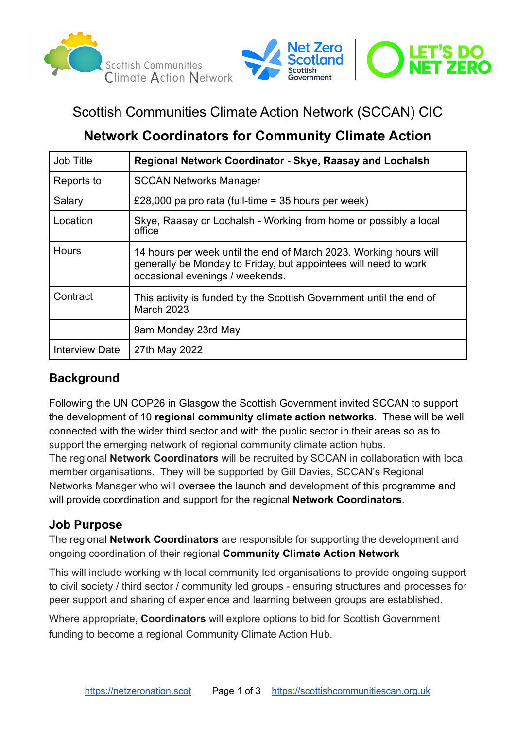



# Scottish Communities Climate Action Network (SCCAN) CIC

# **Network Coordinators for Community Climate Action**

| <b>Job Title</b>      | Regional Network Coordinator - Skye, Raasay and Lochalsh                                                                                                                |
|-----------------------|-------------------------------------------------------------------------------------------------------------------------------------------------------------------------|
| Reports to            | <b>SCCAN Networks Manager</b>                                                                                                                                           |
| Salary                | £28,000 pa pro rata (full-time = 35 hours per week)                                                                                                                     |
| Location              | Skye, Raasay or Lochalsh - Working from home or possibly a local<br>office                                                                                              |
| <b>Hours</b>          | 14 hours per week until the end of March 2023. Working hours will<br>generally be Monday to Friday, but appointees will need to work<br>occasional evenings / weekends. |
| Contract              | This activity is funded by the Scottish Government until the end of<br><b>March 2023</b>                                                                                |
|                       | 9am Monday 23rd May                                                                                                                                                     |
| <b>Interview Date</b> | 27th May 2022                                                                                                                                                           |

## **Background**

Following the UN COP26 in Glasgow the Scottish Government invited SCCAN to support the development of 10 **regional community climate action networks**. These will be well connected with the wider third sector and with the public sector in their areas so as to support the emerging network of regional community climate action hubs.

The regional **Network Coordinators** will be recruited by SCCAN in collaboration with local member organisations. They will be supported by Gill Davies, SCCAN's Regional Networks Manager who will oversee the launch and development of this programme and will provide coordination and support for the regional **Network Coordinators**.

### **Job Purpose**

The regional **Network Coordinators** are responsible for supporting the development and ongoing coordination of their regional **Community Climate Action Network**

This will include working with local community led organisations to provide ongoing support to civil society / third sector / community led groups - ensuring structures and processes for peer support and sharing of experience and learning between groups are established.

Where appropriate, **Coordinators** will explore options to bid for Scottish Government funding to become a regional Community Climate Action Hub.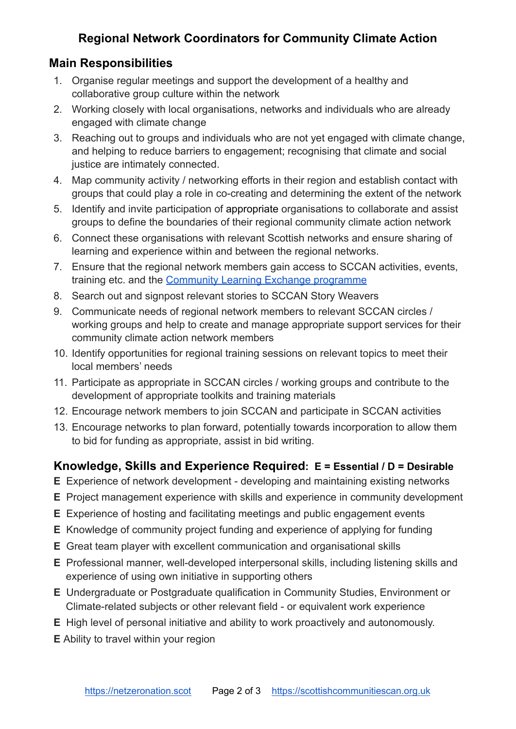## **Regional Network Coordinators for Community Climate Action**

#### **Main Responsibilities**

- 1. Organise regular meetings and support the development of a healthy and collaborative group culture within the network
- 2. Working closely with local organisations, networks and individuals who are already engaged with climate change
- 3. Reaching out to groups and individuals who are not yet engaged with climate change, and helping to reduce barriers to engagement; recognising that climate and social justice are intimately connected.
- 4. Map community activity / networking efforts in their region and establish contact with groups that could play a role in co-creating and determining the extent of the network
- 5. Identify and invite participation of appropriate organisations to collaborate and assist groups to define the boundaries of their regional community climate action network
- 6. Connect these organisations with relevant Scottish networks and ensure sharing of learning and experience within and between the regional networks.
- 7. Ensure that the regional network members gain access to SCCAN activities, events, training etc. and the [Community Learning Exchange](https://www.scottishcommunitiescan.org.uk/community-learning-exchange/) programme
- 8. Search out and signpost relevant stories to SCCAN Story Weavers
- 9. Communicate needs of regional network members to relevant SCCAN circles / working groups and help to create and manage appropriate support services for their community climate action network members
- 10. Identify opportunities for regional training sessions on relevant topics to meet their local members' needs
- 11. Participate as appropriate in SCCAN circles / working groups and contribute to the development of appropriate toolkits and training materials
- 12. Encourage network members to join SCCAN and participate in SCCAN activities
- 13. Encourage networks to plan forward, potentially towards incorporation to allow them to bid for funding as appropriate, assist in bid writing.

### **Knowledge, Skills and Experience Required: E = Essential / D = Desirable**

- **E** Experience of network development developing and maintaining existing networks
- **E** Project management experience with skills and experience in community development
- **E** Experience of hosting and facilitating meetings and public engagement events
- **E** Knowledge of community project funding and experience of applying for funding
- **E** Great team player with excellent communication and organisational skills
- **E** Professional manner, well-developed interpersonal skills, including listening skills and experience of using own initiative in supporting others
- **E** Undergraduate or Postgraduate qualification in Community Studies, Environment or Climate-related subjects or other relevant field - or equivalent work experience
- **E** High level of personal initiative and ability to work proactively and autonomously.
- **E** Ability to travel within your region